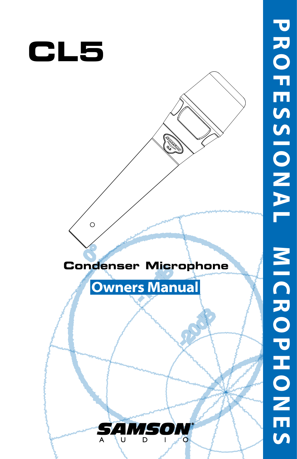

 $\circ$ 



# **Owners Manual**



**P R O F E S S I O N A L M I C R O P H O N E S**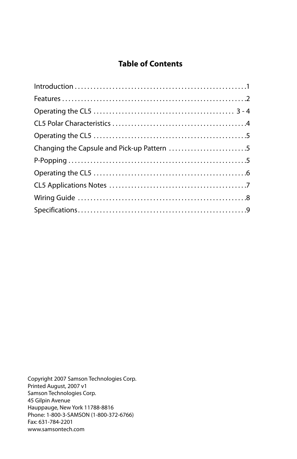### **Table of Contents**

Copyright 2007 Samson Technologies Corp. Printed August, 2007 v1 Samson Technologies Corp. 45 Gilpin Avenue Hauppauge, New York 11788-8816 Phone: 1-800-3-SAMSON (1-800-372-6766) Fax: 631-784-2201 www.samsontech.com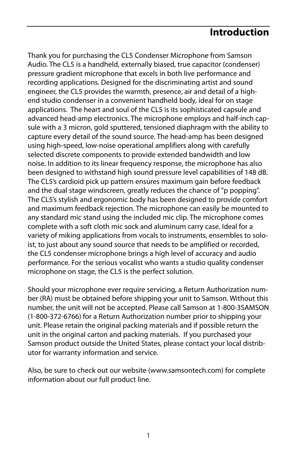### **Introduction**

Thank you for purchasing the CL5 Condenser Microphone from Samson Audio. The CL5 is a handheld, externally biased, true capacitor (condenser) pressure gradient microphone that excels in both live performance and recording applications. Designed for the discriminating artist and sound engineer, the CL5 provides the warmth, presence, air and detail of a highend studio condenser in a convenient handheld body, ideal for on stage applications. The heart and soul of the CL5 is its sophisticated capsule and advanced head-amp electronics. The microphone employs and half-inch capsule with a 3 micron, gold sputtered, tensioned diaphragm with the ability to capture every detail of the sound source. The head-amp has been designed using high-speed, low-noise operational amplifiers along with carefully selected discrete components to provide extended bandwidth and low noise. In addition to its linear frequency response, the microphone has also been designed to withstand high sound pressure level capabilities of 148 dB. The CL5's cardioid pick up pattern ensures maximum gain before feedback and the dual stage windscreen, greatly reduces the chance of "p popping". The CL5's stylish and ergonomic body has been designed to provide comfort and maximum feedback rejection. The microphone can easily be mounted to any standard mic stand using the included mic clip. The microphone comes complete with a soft cloth mic sock and aluminum carry case. Ideal for a variety of miking applications from vocals to instruments, ensembles to soloist, to just about any sound source that needs to be amplified or recorded, the CL5 condenser microphone brings a high level of accuracy and audio performance. For the serious vocalist who wants a studio quality condenser microphone on stage, the CL5 is the perfect solution.

Should your microphone ever require servicing, a Return Authorization number (RA) must be obtained before shipping your unit to Samson. Without this number, the unit will not be accepted. Please call Samson at 1-800-3SAMSON (1-800-372-6766) for a Return Authorization number prior to shipping your unit. Please retain the original packing materials and if possible return the unit in the original carton and packing materials. If you purchased your Samson product outside the United States, please contact your local distributor for warranty information and service.

Also, be sure to check out our website (www.samsontech.com) for complete information about our full product line.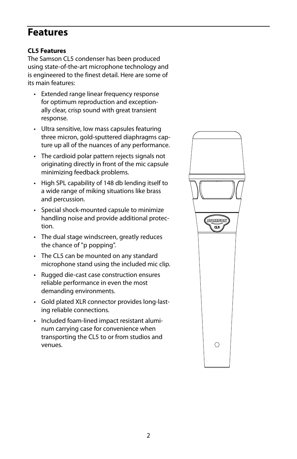### **Features**

#### **CL5 Features**

The Samson CL5 condenser has been produced using state-of-the-art microphone technology and is engineered to the finest detail. Here are some of its main features:

- Extended range linear frequency response for optimum reproduction and exceptionally clear, crisp sound with great transient response.
- Ultra sensitive, low mass capsules featuring three micron, gold-sputtered diaphragms capture up all of the nuances of any performance.
- The cardioid polar pattern rejects signals not originating directly in front of the mic capsule minimizing feedback problems.
- High SPL capability of 148 db lending itself to a wide range of miking situations like brass and percussion.
- Special shock-mounted capsule to minimize handling noise and provide additional protection.
- The dual stage windscreen, greatly reduces the chance of "p popping".
- The CL5 can be mounted on any standard microphone stand using the included mic clip.
- Rugged die-cast case construction ensures reliable performance in even the most demanding environments.
- Gold plated XLR connector provides long-lasting reliable connections.
- Included foam-lined impact resistant aluminum carrying case for convenience when transporting the CL5 to or from studios and venues.

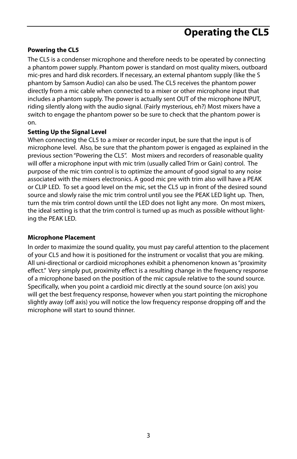# **Operating the CL5**

#### **Powering the CL5**

The CL5 is a condenser microphone and therefore needs to be operated by connecting a phantom power supply. Phantom power is standard on most quality mixers, outboard mic-pres and hard disk recorders. If necessary, an external phantom supply (like the S phantom by Samson Audio) can also be used. The CL5 receives the phantom power directly from a mic cable when connected to a mixer or other microphone input that includes a phantom supply. The power is actually sent OUT of the microphone INPUT, riding silently along with the audio signal. (Fairly mysterious, eh?) Most mixers have a switch to engage the phantom power so be sure to check that the phantom power is on.

#### **Setting Up the Signal Level**

When connecting the CL5 to a mixer or recorder input, be sure that the input is of microphone level. Also, be sure that the phantom power is engaged as explained in the previous section "Powering the CL5". Most mixers and recorders of reasonable quality will offer a microphone input with mic trim (usually called Trim or Gain) control. The purpose of the mic trim control is to optimize the amount of good signal to any noise associated with the mixers electronics. A good mic pre with trim also will have a PEAK or CLIP LED. To set a good level on the mic, set the CL5 up in front of the desired sound source and slowly raise the mic trim control until you see the PEAK LED light up. Then, turn the mix trim control down until the LED does not light any more. On most mixers, the ideal setting is that the trim control is turned up as much as possible without lighting the PEAK LED.

#### **Microphone Placement**

In order to maximize the sound quality, you must pay careful attention to the placement of your CL5 and how it is positioned for the instrument or vocalist that you are miking. All uni-directional or cardioid microphones exhibit a phenomenon known as "proximity effect." Very simply put, proximity effect is a resulting change in the frequency response of a microphone based on the position of the mic capsule relative to the sound source. Specifically, when you point a cardioid mic directly at the sound source (on axis) you will get the best frequency response, however when you start pointing the microphone slightly away (off axis) you will notice the low frequency response dropping off and the microphone will start to sound thinner.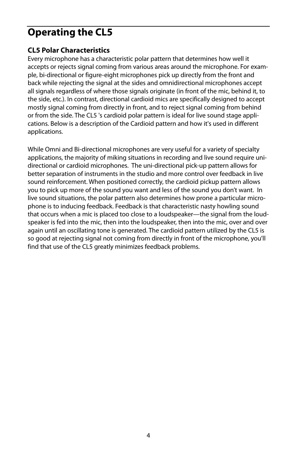# **Operating the CL5**

#### **CL5 Polar Characteristics**

Every microphone has a characteristic polar pattern that determines how well it accepts or rejects signal coming from various areas around the microphone. For example, bi-directional or figure-eight microphones pick up directly from the front and back while rejecting the signal at the sides and omnidirectional microphones accept all signals regardless of where those signals originate (in front of the mic, behind it, to the side, etc.). In contrast, directional cardioid mics are specifically designed to accept mostly signal coming from directly in front, and to reject signal coming from behind or from the side. The CL5 's cardioid polar pattern is ideal for live sound stage applications. Below is a description of the Cardioid pattern and how it's used in different applications.

While Omni and Bi-directional microphones are very useful for a variety of specialty applications, the majority of miking situations in recording and live sound require unidirectional or cardioid microphones. The uni-directional pick-up pattern allows for better separation of instruments in the studio and more control over feedback in live sound reinforcement. When positioned correctly, the cardioid pickup pattern allows you to pick up more of the sound you want and less of the sound you don't want. In live sound situations, the polar pattern also determines how prone a particular microphone is to inducing feedback. Feedback is that characteristic nasty howling sound that occurs when a mic is placed too close to a loudspeaker—the signal from the loudspeaker is fed into the mic, then into the loudspeaker, then into the mic, over and over again until an oscillating tone is generated. The cardioid pattern utilized by the CL5 is so good at rejecting signal not coming from directly in front of the microphone, you'll find that use of the CL5 greatly minimizes feedback problems.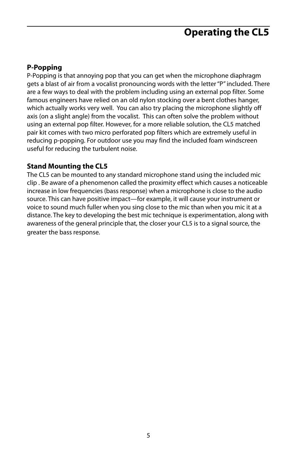# **Operating the CL5**

#### **P-Popping**

P-Popping is that annoying pop that you can get when the microphone diaphragm gets a blast of air from a vocalist pronouncing words with the letter "P" included. There are a few ways to deal with the problem including using an external pop filter. Some famous engineers have relied on an old nylon stocking over a bent clothes hanger, which actually works very well. You can also try placing the microphone slightly off axis (on a slight angle) from the vocalist. This can often solve the problem without using an external pop filter. However, for a more reliable solution, the CL5 matched pair kit comes with two micro perforated pop filters which are extremely useful in reducing p-popping. For outdoor use you may find the included foam windscreen useful for reducing the turbulent noise.

#### **Stand Mounting the CL5**

The CL5 can be mounted to any standard microphone stand using the included mic clip . Be aware of a phenomenon called the proximity effect which causes a noticeable increase in low frequencies (bass response) when a microphone is close to the audio source. This can have positive impact—for example, it will cause your instrument or voice to sound much fuller when you sing close to the mic than when you mic it at a distance. The key to developing the best mic technique is experimentation, along with awareness of the general principle that, the closer your CL5 is to a signal source, the greater the bass response.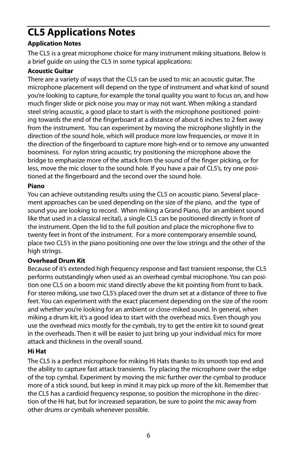# **CL5 Applications Notes**

#### **Application Notes**

The CL5 is a great microphone choice for many instrument miking situations. Below is a brief guide on using the CL5 in some typical applications:

#### **Acoustic Guitar**

There are a variety of ways that the CL5 can be used to mic an acoustic guitar. The microphone placement will depend on the type of instrument and what kind of sound you're looking to capture, for example the tonal quality you want to focus on, and how much finger slide or pick noise you may or may not want. When miking a standard steel string acoustic, a good place to start is with the microphone positioned pointing towards the end of the fingerboard at a distance of about 6 inches to 2 feet away from the instrument. You can experiment by moving the microphone slightly in the direction of the sound hole, which will produce more low frequencies, or move it in the direction of the fingerboard to capture more high-end or to remove any unwanted boominess. For nylon string acoustic, try positioning the microphone above the bridge to emphasize more of the attack from the sound of the finger picking, or for less, move the mic closer to the sound hole. If you have a pair of CL5's, try one positioned at the fingerboard and the second over the sound hole.

#### **Piano**

You can achieve outstanding results using the CL5 on acoustic piano. Several placement approaches can be used depending on the size of the piano, and the type of sound you are looking to record. When miking a Grand Piano, (for an ambient sound like that used in a classical recital), a single CL5 can be positioned directly in front of the instrument. Open the lid to the full position and place the microphone five to twenty feet in front of the instrument. For a more contemporary ensemble sound, place two CL5's in the piano positioning one over the low strings and the other of the high strings.

#### **Overhead Drum Kit**

Because of it's extended high frequency response and fast transient response, the CL5 performs outstandingly when used as an overhead cymbal microphone. You can position one CL5 on a boom mic stand directly above the kit pointing from front to back. For stereo miking, use two CL5's placed over the drum set at a distance of three to five feet. You can experiment with the exact placement depending on the size of the room and whether you're looking for an ambient or close-miked sound. In general, when miking a drum kit, it's a good idea to start with the overhead mics. Even though you use the overhead mics mostly for the cymbals, try to get the entire kit to sound great in the overheads. Then it will be easier to just bring up your individual mics for more attack and thickness in the overall sound.

#### **Hi Hat**

The CL5 is a perfect microphone for miking Hi Hats thanks to its smooth top end and the ability to capture fast attack transients. Try placing the microphone over the edge of the top cymbal. Experiment by moving the mic further over the cymbal to produce more of a stick sound, but keep in mind it may pick up more of the kit. Remember that the CL5 has a cardioid frequency response, so position the microphone in the direction of the Hi hat, but for increased separation, be sure to point the mic away from other drums or cymbals whenever possible.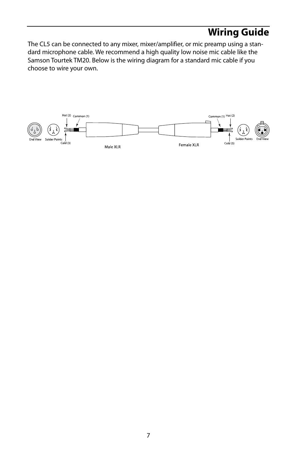# **Wiring Guide**

The CL5 can be connected to any mixer, mixer/amplifier, or mic preamp using a standard microphone cable. We recommend a high quality low noise mic cable like the Samson Tourtek TM20. Below is the wiring diagram for a standard mic cable if you choose to wire your own.